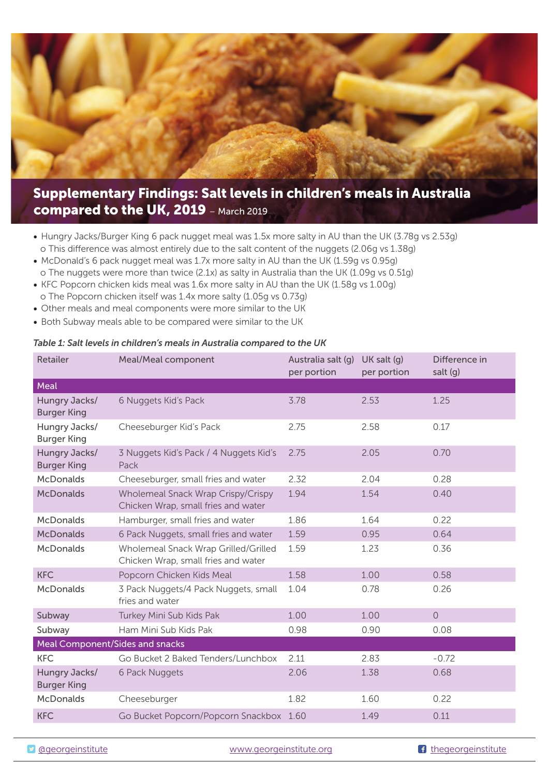## **Supplementary Findings: Salt levels in children's meals in Australia compared to the UK, 2019** – March 2019

- Hungry Jacks/Burger King 6 pack nugget meal was 1.5x more salty in AU than the UK (3.78g vs 2.53g) o This difference was almost entirely due to the salt content of the nuggets (2.06g vs 1.38g)
- McDonald's 6 pack nugget meal was 1.7x more salty in AU than the UK (1.59g vs 0.95g) o The nuggets were more than twice (2.1x) as salty in Australia than the UK (1.09g vs 0.51g)
- KFC Popcorn chicken kids meal was 1.6x more salty in AU than the UK (1.58g vs 1.00g)
- o The Popcorn chicken itself was 1.4x more salty (1.05g vs 0.73g)
- Other meals and meal components were more similar to the UK
- Both Subway meals able to be compared were similar to the UK

## *Table 1: Salt levels in children's meals in Australia compared to the UK*

| Retailer                               | Meal/Meal component                                                         | Australia salt (q)<br>per portion | $UK$ salt $(q)$<br>per portion | Difference in<br>salt $(g)$ |  |  |
|----------------------------------------|-----------------------------------------------------------------------------|-----------------------------------|--------------------------------|-----------------------------|--|--|
| Meal                                   |                                                                             |                                   |                                |                             |  |  |
| Hungry Jacks/<br><b>Burger King</b>    | 6 Nuggets Kid's Pack                                                        | 3.78                              | 2.53                           | 1.25                        |  |  |
| Hungry Jacks/<br><b>Burger King</b>    | Cheeseburger Kid's Pack                                                     | 2.75                              | 2.58                           | 0.17                        |  |  |
| Hungry Jacks/<br><b>Burger King</b>    | 3 Nuggets Kid's Pack / 4 Nuggets Kid's<br>Pack                              | 2.75                              | 2.05                           | 0.70                        |  |  |
| <b>McDonalds</b>                       | Cheeseburger, small fries and water                                         | 2.32                              | 2.04                           | 0.28                        |  |  |
| <b>McDonalds</b>                       | Wholemeal Snack Wrap Crispy/Crispy<br>Chicken Wrap, small fries and water   | 1.94                              | 1.54                           | 0.40                        |  |  |
| <b>McDonalds</b>                       | Hamburger, small fries and water                                            | 1.86                              | 1.64                           | 0.22                        |  |  |
| <b>McDonalds</b>                       | 6 Pack Nuggets, small fries and water                                       | 1.59                              | 0.95                           | 0.64                        |  |  |
| <b>McDonalds</b>                       | Wholemeal Snack Wrap Grilled/Grilled<br>Chicken Wrap, small fries and water | 1.59                              | 1.23                           | 0.36                        |  |  |
| <b>KFC</b>                             | Popcorn Chicken Kids Meal                                                   | 1.58                              | 1.00                           | 0.58                        |  |  |
| <b>McDonalds</b>                       | 3 Pack Nuggets/4 Pack Nuggets, small<br>fries and water                     | 1.04                              | 0.78                           | 0.26                        |  |  |
| Subway                                 | Turkey Mini Sub Kids Pak                                                    | 1.00                              | 1.00                           | $\circ$                     |  |  |
| Subway                                 | Ham Mini Sub Kids Pak                                                       | 0.98                              | 0.90                           | 0.08                        |  |  |
| <b>Meal Component/Sides and snacks</b> |                                                                             |                                   |                                |                             |  |  |
| <b>KFC</b>                             | Go Bucket 2 Baked Tenders/Lunchbox                                          | 2.11                              | 2.83                           | $-0.72$                     |  |  |
| Hungry Jacks/<br><b>Burger King</b>    | 6 Pack Nuggets                                                              | 2.06                              | 1.38                           | 0.68                        |  |  |
| <b>McDonalds</b>                       | Cheeseburger                                                                | 1.82                              | 1.60                           | 0.22                        |  |  |
| <b>KFC</b>                             | Go Bucket Popcorn/Popcorn Snackbox 1.60                                     |                                   | 1.49                           | 0.11                        |  |  |

D ageorgeinstitute www.georgeinstitute.org degeorgeinstitute.org f thegeorgeinstitute